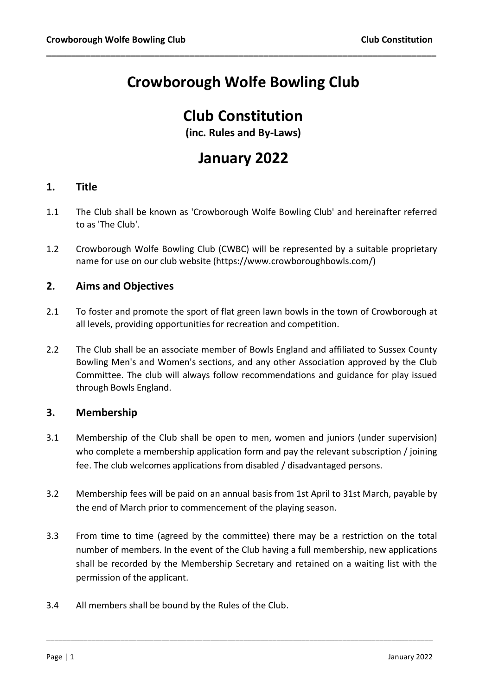# Crowborough Wolfe Bowling Club

\_\_\_\_\_\_\_\_\_\_\_\_\_\_\_\_\_\_\_\_\_\_\_\_\_\_\_\_\_\_\_\_\_\_\_\_\_\_\_\_\_\_\_\_\_\_\_\_\_\_\_\_\_\_\_\_\_\_\_\_\_\_\_\_\_\_\_\_\_\_\_\_\_\_\_\_\_\_\_

## Club Constitution

(inc. Rules and By-Laws)

## January 2022

## 1. Title

- 1.1 The Club shall be known as 'Crowborough Wolfe Bowling Club' and hereinafter referred to as 'The Club'.
- 1.2 Crowborough Wolfe Bowling Club (CWBC) will be represented by a suitable proprietary name for use on our club website (https://www.crowboroughbowls.com/)

## 2. Aims and Objectives

- 2.1 To foster and promote the sport of flat green lawn bowls in the town of Crowborough at all levels, providing opportunities for recreation and competition.
- 2.2 The Club shall be an associate member of Bowls England and affiliated to Sussex County Bowling Men's and Women's sections, and any other Association approved by the Club Committee. The club will always follow recommendations and guidance for play issued through Bowls England.

## 3. Membership

- 3.1 Membership of the Club shall be open to men, women and juniors (under supervision) who complete a membership application form and pay the relevant subscription / joining fee. The club welcomes applications from disabled / disadvantaged persons.
- 3.2 Membership fees will be paid on an annual basis from 1st April to 31st March, payable by the end of March prior to commencement of the playing season.
- 3.3 From time to time (agreed by the committee) there may be a restriction on the total number of members. In the event of the Club having a full membership, new applications shall be recorded by the Membership Secretary and retained on a waiting list with the permission of the applicant.

\_\_\_\_\_\_\_\_\_\_\_\_\_\_\_\_\_\_\_\_\_\_\_\_\_\_\_\_\_\_\_\_\_\_\_\_\_\_\_\_\_\_\_\_\_\_\_\_\_\_\_\_\_\_\_\_\_\_\_\_\_\_\_\_\_\_\_\_\_\_\_\_\_\_\_\_\_\_\_\_\_\_\_\_\_\_\_\_\_\_\_\_\_\_

3.4 All members shall be bound by the Rules of the Club.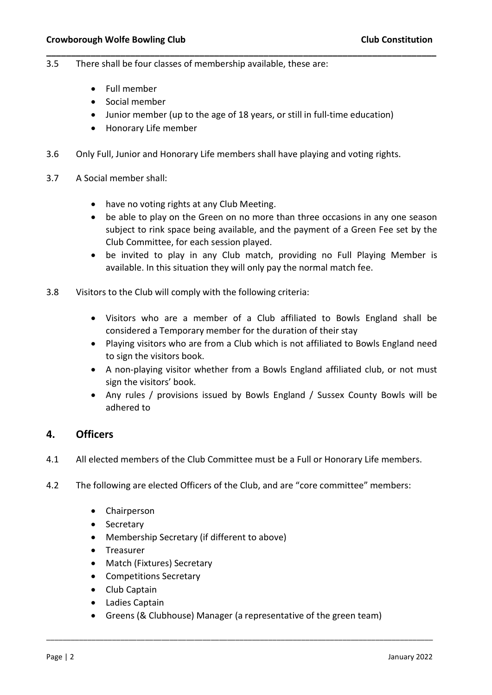- 3.5 There shall be four classes of membership available, these are:
	- Full member
	- Social member
	- Junior member (up to the age of 18 years, or still in full-time education)

\_\_\_\_\_\_\_\_\_\_\_\_\_\_\_\_\_\_\_\_\_\_\_\_\_\_\_\_\_\_\_\_\_\_\_\_\_\_\_\_\_\_\_\_\_\_\_\_\_\_\_\_\_\_\_\_\_\_\_\_\_\_\_\_\_\_\_\_\_\_\_\_\_\_\_\_\_\_\_

- Honorary Life member
- 3.6 Only Full, Junior and Honorary Life members shall have playing and voting rights.
- 3.7 A Social member shall:
	- have no voting rights at any Club Meeting.
	- be able to play on the Green on no more than three occasions in any one season subject to rink space being available, and the payment of a Green Fee set by the Club Committee, for each session played.
	- be invited to play in any Club match, providing no Full Playing Member is available. In this situation they will only pay the normal match fee.
- 3.8 Visitors to the Club will comply with the following criteria:
	- Visitors who are a member of a Club affiliated to Bowls England shall be considered a Temporary member for the duration of their stay
	- Playing visitors who are from a Club which is not affiliated to Bowls England need to sign the visitors book.
	- A non-playing visitor whether from a Bowls England affiliated club, or not must sign the visitors' book.
	- Any rules / provisions issued by Bowls England / Sussex County Bowls will be adhered to

## 4. Officers

- 4.1 All elected members of the Club Committee must be a Full or Honorary Life members.
- 4.2 The following are elected Officers of the Club, and are "core committee" members:
	- Chairperson
	- Secretary
	- Membership Secretary (if different to above)
	- **•** Treasurer
	- Match (Fixtures) Secretary
	- Competitions Secretary
	- Club Captain
	- Ladies Captain
	- Greens (& Clubhouse) Manager (a representative of the green team)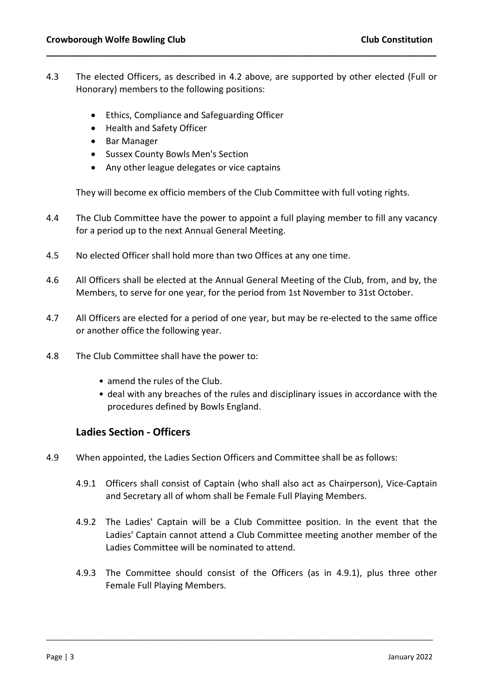4.3 The elected Officers, as described in 4.2 above, are supported by other elected (Full or Honorary) members to the following positions:

\_\_\_\_\_\_\_\_\_\_\_\_\_\_\_\_\_\_\_\_\_\_\_\_\_\_\_\_\_\_\_\_\_\_\_\_\_\_\_\_\_\_\_\_\_\_\_\_\_\_\_\_\_\_\_\_\_\_\_\_\_\_\_\_\_\_\_\_\_\_\_\_\_\_\_\_\_\_\_

- Ethics, Compliance and Safeguarding Officer
- Health and Safety Officer
- Bar Manager
- Sussex County Bowls Men's Section
- Any other league delegates or vice captains

They will become ex officio members of the Club Committee with full voting rights.

- 4.4 The Club Committee have the power to appoint a full playing member to fill any vacancy for a period up to the next Annual General Meeting.
- 4.5 No elected Officer shall hold more than two Offices at any one time.
- 4.6 All Officers shall be elected at the Annual General Meeting of the Club, from, and by, the Members, to serve for one year, for the period from 1st November to 31st October.
- 4.7 All Officers are elected for a period of one year, but may be re-elected to the same office or another office the following year.
- 4.8 The Club Committee shall have the power to:
	- amend the rules of the Club.
	- deal with any breaches of the rules and disciplinary issues in accordance with the procedures defined by Bowls England.

## Ladies Section - Officers

- 4.9 When appointed, the Ladies Section Officers and Committee shall be as follows:
	- 4.9.1 Officers shall consist of Captain (who shall also act as Chairperson), Vice-Captain and Secretary all of whom shall be Female Full Playing Members.
	- 4.9.2 The Ladies' Captain will be a Club Committee position. In the event that the Ladies' Captain cannot attend a Club Committee meeting another member of the Ladies Committee will be nominated to attend.
	- 4.9.3 The Committee should consist of the Officers (as in 4.9.1), plus three other Female Full Playing Members.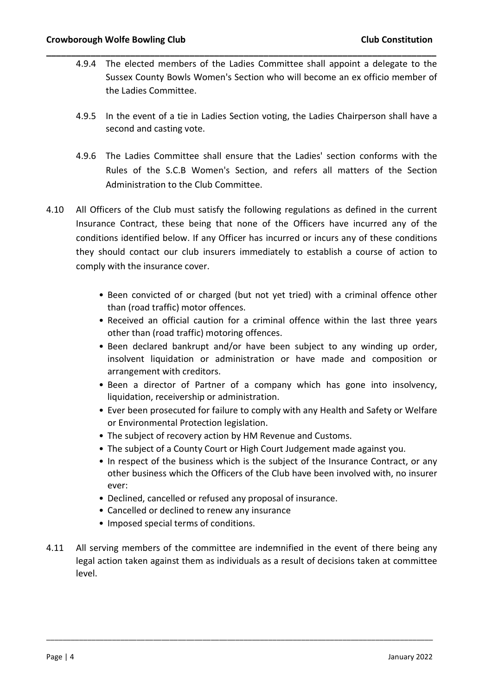4.9.4 The elected members of the Ladies Committee shall appoint a delegate to the Sussex County Bowls Women's Section who will become an ex officio member of the Ladies Committee.

\_\_\_\_\_\_\_\_\_\_\_\_\_\_\_\_\_\_\_\_\_\_\_\_\_\_\_\_\_\_\_\_\_\_\_\_\_\_\_\_\_\_\_\_\_\_\_\_\_\_\_\_\_\_\_\_\_\_\_\_\_\_\_\_\_\_\_\_\_\_\_\_\_\_\_\_\_\_\_

- 4.9.5 In the event of a tie in Ladies Section voting, the Ladies Chairperson shall have a second and casting vote.
- 4.9.6 The Ladies Committee shall ensure that the Ladies' section conforms with the Rules of the S.C.B Women's Section, and refers all matters of the Section Administration to the Club Committee.
- 4.10 All Officers of the Club must satisfy the following regulations as defined in the current Insurance Contract, these being that none of the Officers have incurred any of the conditions identified below. If any Officer has incurred or incurs any of these conditions they should contact our club insurers immediately to establish a course of action to comply with the insurance cover.
	- Been convicted of or charged (but not yet tried) with a criminal offence other than (road traffic) motor offences.
	- Received an official caution for a criminal offence within the last three years other than (road traffic) motoring offences.
	- Been declared bankrupt and/or have been subject to any winding up order, insolvent liquidation or administration or have made and composition or arrangement with creditors.
	- Been a director of Partner of a company which has gone into insolvency, liquidation, receivership or administration.
	- Ever been prosecuted for failure to comply with any Health and Safety or Welfare or Environmental Protection legislation.
	- The subject of recovery action by HM Revenue and Customs.
	- The subject of a County Court or High Court Judgement made against you.
	- In respect of the business which is the subject of the Insurance Contract, or any other business which the Officers of the Club have been involved with, no insurer ever:
	- Declined, cancelled or refused any proposal of insurance.
	- Cancelled or declined to renew any insurance
	- Imposed special terms of conditions.
- 4.11 All serving members of the committee are indemnified in the event of there being any legal action taken against them as individuals as a result of decisions taken at committee level.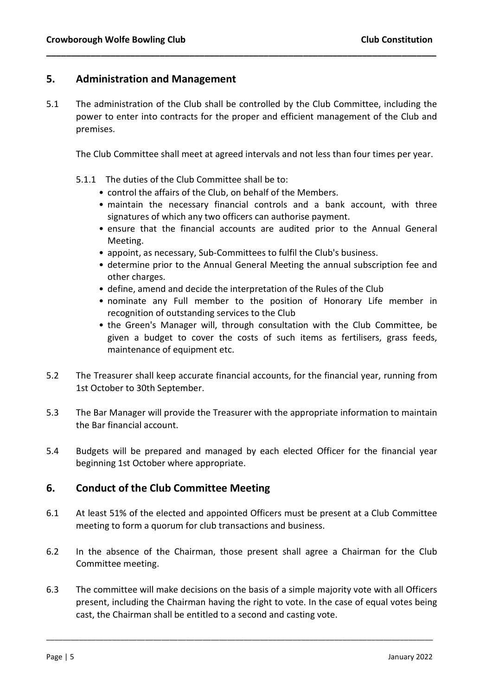## 5. Administration and Management

5.1 The administration of the Club shall be controlled by the Club Committee, including the power to enter into contracts for the proper and efficient management of the Club and premises.

\_\_\_\_\_\_\_\_\_\_\_\_\_\_\_\_\_\_\_\_\_\_\_\_\_\_\_\_\_\_\_\_\_\_\_\_\_\_\_\_\_\_\_\_\_\_\_\_\_\_\_\_\_\_\_\_\_\_\_\_\_\_\_\_\_\_\_\_\_\_\_\_\_\_\_\_\_\_\_

The Club Committee shall meet at agreed intervals and not less than four times per year.

- 5.1.1 The duties of the Club Committee shall be to:
	- control the affairs of the Club, on behalf of the Members.
	- maintain the necessary financial controls and a bank account, with three signatures of which any two officers can authorise payment.
	- ensure that the financial accounts are audited prior to the Annual General Meeting.
	- appoint, as necessary, Sub-Committees to fulfil the Club's business.
	- determine prior to the Annual General Meeting the annual subscription fee and other charges.
	- define, amend and decide the interpretation of the Rules of the Club
	- nominate any Full member to the position of Honorary Life member in recognition of outstanding services to the Club
	- the Green's Manager will, through consultation with the Club Committee, be given a budget to cover the costs of such items as fertilisers, grass feeds, maintenance of equipment etc.
- 5.2 The Treasurer shall keep accurate financial accounts, for the financial year, running from 1st October to 30th September.
- 5.3 The Bar Manager will provide the Treasurer with the appropriate information to maintain the Bar financial account.
- 5.4 Budgets will be prepared and managed by each elected Officer for the financial year beginning 1st October where appropriate.

## 6. Conduct of the Club Committee Meeting

- 6.1 At least 51% of the elected and appointed Officers must be present at a Club Committee meeting to form a quorum for club transactions and business.
- 6.2 In the absence of the Chairman, those present shall agree a Chairman for the Club Committee meeting.
- 6.3 The committee will make decisions on the basis of a simple majority vote with all Officers present, including the Chairman having the right to vote. In the case of equal votes being cast, the Chairman shall be entitled to a second and casting vote.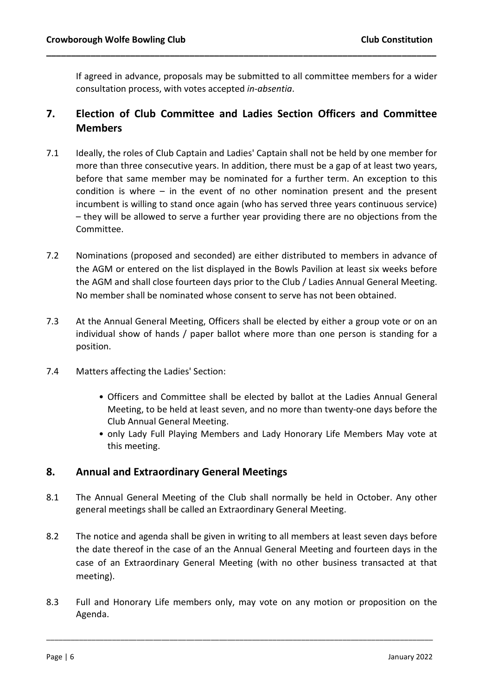If agreed in advance, proposals may be submitted to all committee members for a wider consultation process, with votes accepted in-absentia.

## 7. Election of Club Committee and Ladies Section Officers and Committee **Members**

\_\_\_\_\_\_\_\_\_\_\_\_\_\_\_\_\_\_\_\_\_\_\_\_\_\_\_\_\_\_\_\_\_\_\_\_\_\_\_\_\_\_\_\_\_\_\_\_\_\_\_\_\_\_\_\_\_\_\_\_\_\_\_\_\_\_\_\_\_\_\_\_\_\_\_\_\_\_\_

- 7.1 Ideally, the roles of Club Captain and Ladies' Captain shall not be held by one member for more than three consecutive years. In addition, there must be a gap of at least two years, before that same member may be nominated for a further term. An exception to this condition is where – in the event of no other nomination present and the present incumbent is willing to stand once again (who has served three years continuous service) – they will be allowed to serve a further year providing there are no objections from the Committee.
- 7.2 Nominations (proposed and seconded) are either distributed to members in advance of the AGM or entered on the list displayed in the Bowls Pavilion at least six weeks before the AGM and shall close fourteen days prior to the Club / Ladies Annual General Meeting. No member shall be nominated whose consent to serve has not been obtained.
- 7.3 At the Annual General Meeting, Officers shall be elected by either a group vote or on an individual show of hands / paper ballot where more than one person is standing for a position.
- 7.4 Matters affecting the Ladies' Section:
	- Officers and Committee shall be elected by ballot at the Ladies Annual General Meeting, to be held at least seven, and no more than twenty-one days before the Club Annual General Meeting.
	- only Lady Full Playing Members and Lady Honorary Life Members May vote at this meeting.

## 8. Annual and Extraordinary General Meetings

- 8.1 The Annual General Meeting of the Club shall normally be held in October. Any other general meetings shall be called an Extraordinary General Meeting.
- 8.2 The notice and agenda shall be given in writing to all members at least seven days before the date thereof in the case of an the Annual General Meeting and fourteen days in the case of an Extraordinary General Meeting (with no other business transacted at that meeting).
- 8.3 Full and Honorary Life members only, may vote on any motion or proposition on the Agenda.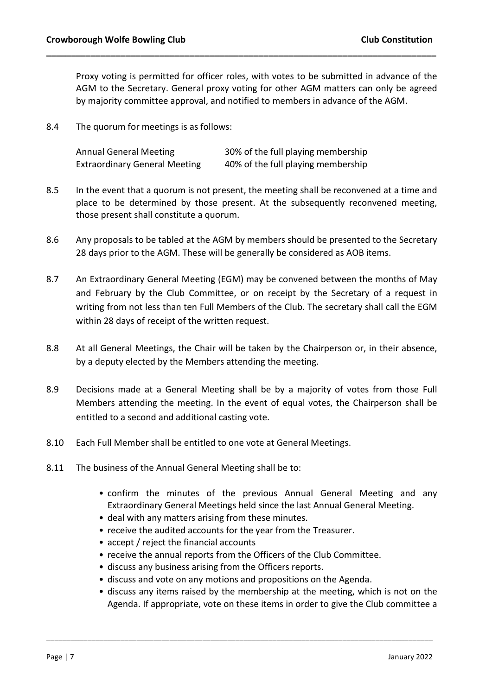Proxy voting is permitted for officer roles, with votes to be submitted in advance of the AGM to the Secretary. General proxy voting for other AGM matters can only be agreed by majority committee approval, and notified to members in advance of the AGM.

\_\_\_\_\_\_\_\_\_\_\_\_\_\_\_\_\_\_\_\_\_\_\_\_\_\_\_\_\_\_\_\_\_\_\_\_\_\_\_\_\_\_\_\_\_\_\_\_\_\_\_\_\_\_\_\_\_\_\_\_\_\_\_\_\_\_\_\_\_\_\_\_\_\_\_\_\_\_\_

8.4 The quorum for meetings is as follows:

| <b>Annual General Meeting</b>        | 30% of the full playing membership |
|--------------------------------------|------------------------------------|
| <b>Extraordinary General Meeting</b> | 40% of the full playing membership |

- 8.5 In the event that a quorum is not present, the meeting shall be reconvened at a time and place to be determined by those present. At the subsequently reconvened meeting, those present shall constitute a quorum.
- 8.6 Any proposals to be tabled at the AGM by members should be presented to the Secretary 28 days prior to the AGM. These will be generally be considered as AOB items.
- 8.7 An Extraordinary General Meeting (EGM) may be convened between the months of May and February by the Club Committee, or on receipt by the Secretary of a request in writing from not less than ten Full Members of the Club. The secretary shall call the EGM within 28 days of receipt of the written request.
- 8.8 At all General Meetings, the Chair will be taken by the Chairperson or, in their absence, by a deputy elected by the Members attending the meeting.
- 8.9 Decisions made at a General Meeting shall be by a majority of votes from those Full Members attending the meeting. In the event of equal votes, the Chairperson shall be entitled to a second and additional casting vote.
- 8.10 Each Full Member shall be entitled to one vote at General Meetings.
- 8.11 The business of the Annual General Meeting shall be to:
	- confirm the minutes of the previous Annual General Meeting and any Extraordinary General Meetings held since the last Annual General Meeting.
	- deal with any matters arising from these minutes.
	- receive the audited accounts for the year from the Treasurer.
	- accept / reject the financial accounts
	- receive the annual reports from the Officers of the Club Committee.
	- discuss any business arising from the Officers reports.
	- discuss and vote on any motions and propositions on the Agenda.

\_\_\_\_\_\_\_\_\_\_\_\_\_\_\_\_\_\_\_\_\_\_\_\_\_\_\_\_\_\_\_\_\_\_\_\_\_\_\_\_\_\_\_\_\_\_\_\_\_\_\_\_\_\_\_\_\_\_\_\_\_\_\_\_\_\_\_\_\_\_\_\_\_\_\_\_\_\_\_\_\_\_\_\_\_\_\_\_\_\_\_\_\_\_

• discuss any items raised by the membership at the meeting, which is not on the Agenda. If appropriate, vote on these items in order to give the Club committee a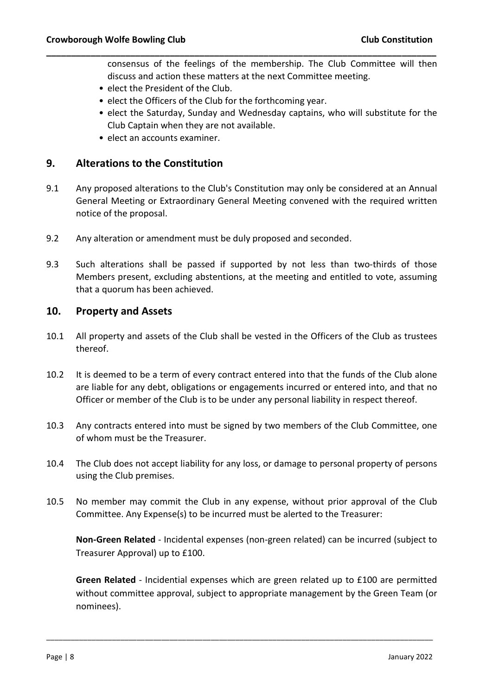consensus of the feelings of the membership. The Club Committee will then discuss and action these matters at the next Committee meeting.

- elect the President of the Club.
- elect the Officers of the Club for the forthcoming year.
- elect the Saturday, Sunday and Wednesday captains, who will substitute for the Club Captain when they are not available.
- elect an accounts examiner.

#### 9. Alterations to the Constitution

9.1 Any proposed alterations to the Club's Constitution may only be considered at an Annual General Meeting or Extraordinary General Meeting convened with the required written notice of the proposal.

\_\_\_\_\_\_\_\_\_\_\_\_\_\_\_\_\_\_\_\_\_\_\_\_\_\_\_\_\_\_\_\_\_\_\_\_\_\_\_\_\_\_\_\_\_\_\_\_\_\_\_\_\_\_\_\_\_\_\_\_\_\_\_\_\_\_\_\_\_\_\_\_\_\_\_\_\_\_\_

- 9.2 Any alteration or amendment must be duly proposed and seconded.
- 9.3 Such alterations shall be passed if supported by not less than two-thirds of those Members present, excluding abstentions, at the meeting and entitled to vote, assuming that a quorum has been achieved.

## 10. Property and Assets

- 10.1 All property and assets of the Club shall be vested in the Officers of the Club as trustees thereof.
- 10.2 It is deemed to be a term of every contract entered into that the funds of the Club alone are liable for any debt, obligations or engagements incurred or entered into, and that no Officer or member of the Club is to be under any personal liability in respect thereof.
- 10.3 Any contracts entered into must be signed by two members of the Club Committee, one of whom must be the Treasurer.
- 10.4 The Club does not accept liability for any loss, or damage to personal property of persons using the Club premises.
- 10.5 No member may commit the Club in any expense, without prior approval of the Club Committee. Any Expense(s) to be incurred must be alerted to the Treasurer:

Non-Green Related - Incidental expenses (non-green related) can be incurred (subject to Treasurer Approval) up to £100.

Green Related - Incidential expenses which are green related up to £100 are permitted without committee approval, subject to appropriate management by the Green Team (or nominees).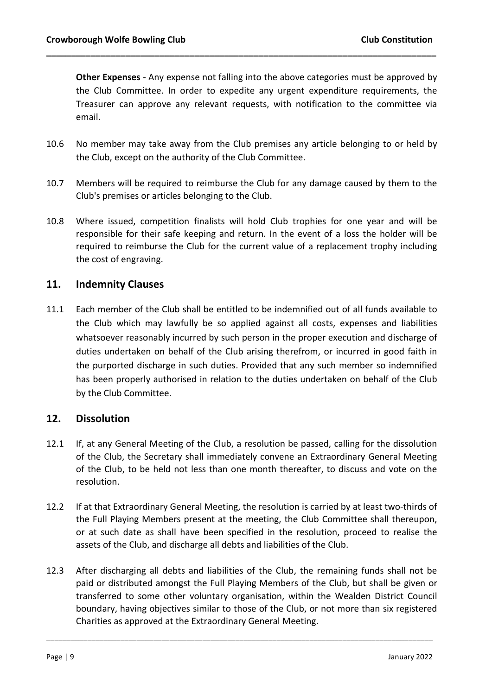Other Expenses - Any expense not falling into the above categories must be approved by the Club Committee. In order to expedite any urgent expenditure requirements, the Treasurer can approve any relevant requests, with notification to the committee via email.

10.6 No member may take away from the Club premises any article belonging to or held by the Club, except on the authority of the Club Committee.

\_\_\_\_\_\_\_\_\_\_\_\_\_\_\_\_\_\_\_\_\_\_\_\_\_\_\_\_\_\_\_\_\_\_\_\_\_\_\_\_\_\_\_\_\_\_\_\_\_\_\_\_\_\_\_\_\_\_\_\_\_\_\_\_\_\_\_\_\_\_\_\_\_\_\_\_\_\_\_

- 10.7 Members will be required to reimburse the Club for any damage caused by them to the Club's premises or articles belonging to the Club.
- 10.8 Where issued, competition finalists will hold Club trophies for one year and will be responsible for their safe keeping and return. In the event of a loss the holder will be required to reimburse the Club for the current value of a replacement trophy including the cost of engraving.

## 11. Indemnity Clauses

11.1 Each member of the Club shall be entitled to be indemnified out of all funds available to the Club which may lawfully be so applied against all costs, expenses and liabilities whatsoever reasonably incurred by such person in the proper execution and discharge of duties undertaken on behalf of the Club arising therefrom, or incurred in good faith in the purported discharge in such duties. Provided that any such member so indemnified has been properly authorised in relation to the duties undertaken on behalf of the Club by the Club Committee.

## 12. Dissolution

- 12.1 If, at any General Meeting of the Club, a resolution be passed, calling for the dissolution of the Club, the Secretary shall immediately convene an Extraordinary General Meeting of the Club, to be held not less than one month thereafter, to discuss and vote on the resolution.
- 12.2 If at that Extraordinary General Meeting, the resolution is carried by at least two-thirds of the Full Playing Members present at the meeting, the Club Committee shall thereupon, or at such date as shall have been specified in the resolution, proceed to realise the assets of the Club, and discharge all debts and liabilities of the Club.
- 12.3 After discharging all debts and liabilities of the Club, the remaining funds shall not be paid or distributed amongst the Full Playing Members of the Club, but shall be given or transferred to some other voluntary organisation, within the Wealden District Council boundary, having objectives similar to those of the Club, or not more than six registered Charities as approved at the Extraordinary General Meeting.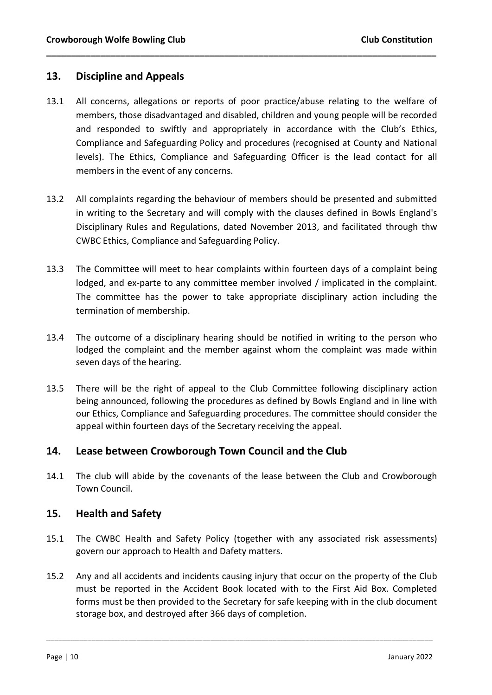## 13. Discipline and Appeals

13.1 All concerns, allegations or reports of poor practice/abuse relating to the welfare of members, those disadvantaged and disabled, children and young people will be recorded and responded to swiftly and appropriately in accordance with the Club's Ethics, Compliance and Safeguarding Policy and procedures (recognised at County and National levels). The Ethics, Compliance and Safeguarding Officer is the lead contact for all members in the event of any concerns.

\_\_\_\_\_\_\_\_\_\_\_\_\_\_\_\_\_\_\_\_\_\_\_\_\_\_\_\_\_\_\_\_\_\_\_\_\_\_\_\_\_\_\_\_\_\_\_\_\_\_\_\_\_\_\_\_\_\_\_\_\_\_\_\_\_\_\_\_\_\_\_\_\_\_\_\_\_\_\_

- 13.2 All complaints regarding the behaviour of members should be presented and submitted in writing to the Secretary and will comply with the clauses defined in Bowls England's Disciplinary Rules and Regulations, dated November 2013, and facilitated through thw CWBC Ethics, Compliance and Safeguarding Policy.
- 13.3 The Committee will meet to hear complaints within fourteen days of a complaint being lodged, and ex-parte to any committee member involved / implicated in the complaint. The committee has the power to take appropriate disciplinary action including the termination of membership.
- 13.4 The outcome of a disciplinary hearing should be notified in writing to the person who lodged the complaint and the member against whom the complaint was made within seven days of the hearing.
- 13.5 There will be the right of appeal to the Club Committee following disciplinary action being announced, following the procedures as defined by Bowls England and in line with our Ethics, Compliance and Safeguarding procedures. The committee should consider the appeal within fourteen days of the Secretary receiving the appeal.

## 14. Lease between Crowborough Town Council and the Club

14.1 The club will abide by the covenants of the lease between the Club and Crowborough Town Council.

## 15. Health and Safety

- 15.1 The CWBC Health and Safety Policy (together with any associated risk assessments) govern our approach to Health and Dafety matters.
- 15.2 Any and all accidents and incidents causing injury that occur on the property of the Club must be reported in the Accident Book located with to the First Aid Box. Completed forms must be then provided to the Secretary for safe keeping with in the club document storage box, and destroyed after 366 days of completion.